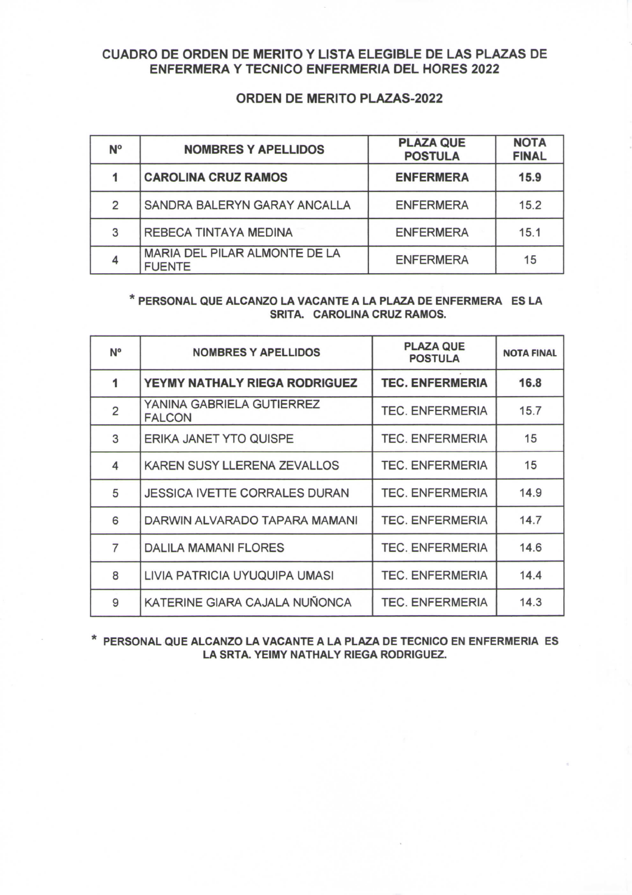## **CUADRO DE ORDEN DE MERITO Y LISTA ELEGIBLE DE LAS PLAZAS DE ENFERMERA Y TECNICO ENFERMERIA DEL HORES 2022**

## **ORDEN DE MERITO PLAZAS**-2022

| N° | <b>NOMBRES Y APELLIDOS</b>                     | <b>PLAZA QUE</b><br><b>POSTULA</b> | <b>NOTA</b><br><b>FINAL</b> |
|----|------------------------------------------------|------------------------------------|-----------------------------|
|    | <b>CAROLINA CRUZ RAMOS</b>                     | <b>ENFERMERA</b>                   | 15.9                        |
| 2  | SANDRA BALERYN GARAY ANCALLA                   | <b>ENFERMERA</b>                   | 15.2                        |
| 3  | <b>REBECA TINTAYA MEDINA</b>                   | <b>ENFERMERA</b>                   | 15.1                        |
|    | MARIA DEL PILAR ALMONTE DE LA<br><b>FUENTE</b> | <b>ENFERMERA</b>                   | 15                          |

## **\* PERSONAL QUE ALCANZO LA VACANTE A LA PLAZA DE ENFERMERA ES LA SRITA. CAROLINA CRUZ RAMOS.**

| <b>N°</b>      | <b>NOMBRES Y APELLIDOS</b>                 | <b>PLAZA QUE</b><br><b>POSTULA</b> | <b>NOTA FINAL</b> |
|----------------|--------------------------------------------|------------------------------------|-------------------|
|                | YEYMY NATHALY RIEGA RODRIGUEZ              | <b>TEC. ENFERMERIA</b>             | 16.8              |
| $\overline{2}$ | YANINA GABRIELA GUTIERREZ<br><b>FALCON</b> | <b>TEC. ENFERMERIA</b>             | 15.7              |
| 3              | ERIKA JANET YTO QUISPE                     | <b>TEC. ENFERMERIA</b>             | 15                |
| 4              | KAREN SUSY LLERENA ZEVALLOS                | <b>TEC. ENFERMERIA</b>             | 15                |
| 5              | <b>JESSICA IVETTE CORRALES DURAN</b>       | <b>TEC. ENFERMERIA</b>             | 14.9              |
| 6              | DARWIN ALVARADO TAPARA MAMANI              | <b>TEC. ENFERMERIA</b>             | 14.7              |
| $\overline{7}$ | <b>DALILA MAMANI FLORES</b>                | <b>TEC. ENFERMERIA</b>             | 14.6              |
| 8              | LIVIA PATRICIA UYUQUIPA UMASI              | <b>TEC. ENFERMERIA</b>             | 14.4              |
| 9              | KATERINE GIARA CAJALA NUÑONCA              | <b>TEC. ENFERMERIA</b>             | 14.3              |

**\* PERSONAL QUE ALCANZO LA VACANTE A LA PLAZA DE TECNICO EN ENFERMERIA ES LA SRTA. YEIMY NATHALY RIEGA RODRIGUEZ.**